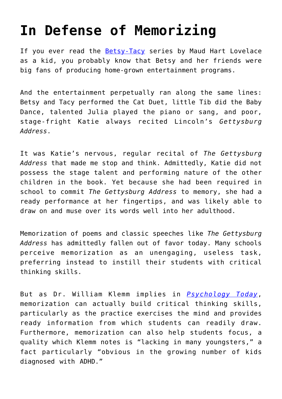## **[In Defense of Memorizing](https://intellectualtakeout.org/2016/02/in-defense-of-memorizing/)**

If you ever read the [Betsy-Tacy](https://www.amazon.com/gp/product/0064400999/ref=as_li_qf_sp_asin_il_tl?ie=UTF8&camp=1789&creative=9325&creativeASIN=0064400999&linkCode=as2&tag=intelltakeo0d-20&linkId=KRYGCD7WW4Z7RU43) series by Maud Hart Lovelace as a kid, you probably know that Betsy and her friends were big fans of producing home-grown entertainment programs.

And the entertainment perpetually ran along the same lines: Betsy and Tacy performed the Cat Duet, little Tib did the Baby Dance, talented Julia played the piano or sang, and poor, stage-fright Katie always recited Lincoln's *Gettysburg Address*.

It was Katie's nervous, regular recital of *The Gettysburg Address* that made me stop and think. Admittedly, Katie did not possess the stage talent and performing nature of the other children in the book. Yet because she had been required in school to commit *The Gettysburg Address* to memory, she had a ready performance at her fingertips, and was likely able to draw on and muse over its words well into her adulthood.

Memorization of poems and classic speeches like *The Gettysburg Address* has admittedly fallen out of favor today. Many schools perceive memorization as an unengaging, useless task, preferring instead to instill their students with critical thinking skills.

But as Dr. William Klemm implies in *[Psychology Today](https://www.psychologytoday.com/blog/memory-medic/201305/memorization-is-not-dirty-word-2)*, memorization can actually build critical thinking skills, particularly as the practice exercises the mind and provides ready information from which students can readily draw. Furthermore, memorization can also help students focus, a quality which Klemm notes is "lacking in many youngsters," a fact particularly "obvious in the growing number of kids diagnosed with ADHD."